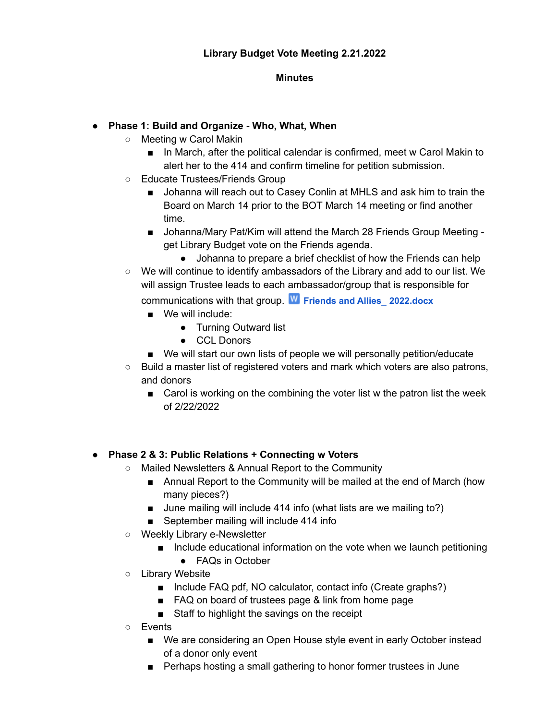#### **Minutes**

## **● Phase 1: Build and Organize - Who, What, When**

- Meeting w Carol Makin
	- In March, after the political calendar is confirmed, meet w Carol Makin to alert her to the 414 and confirm timeline for petition submission.
- Educate Trustees/Friends Group
	- Johanna will reach out to Casey Conlin at MHLS and ask him to train the Board on March 14 prior to the BOT March 14 meeting or find another time.
	- Johanna/Mary Pat/Kim will attend the March 28 Friends Group Meeting get Library Budget vote on the Friends agenda.
		- Johanna to prepare a brief checklist of how the Friends can help
- $\circ$  We will continue to identify ambassadors of the Library and add to our list. We will assign Trustee leads to each ambassador/group that is responsible for communications with that group. **Friends and Allies\_ [2022.docx](https://drive.google.com/file/d/1cGoON11ArCUliwX9elD8Qgs_9MOsoAzN/view?usp=drive_web)**
	- We will include:
		- Turning Outward list
		- CCL Donors
	- We will start our own lists of people we will personally petition/educate
- $\circ$  Build a master list of registered voters and mark which voters are also patrons, and donors
	- Carol is working on the combining the voter list w the patron list the week of 2/22/2022

### **● Phase 2 & 3: Public Relations + Connecting w Voters**

- Mailed Newsletters & Annual Report to the Community
	- Annual Report to the Community will be mailed at the end of March (how many pieces?)
	- June mailing will include 414 info (what lists are we mailing to?)
	- September mailing will include 414 info
- Weekly Library e-Newsletter
	- Include educational information on the vote when we launch petitioning
		- FAQs in October
- Library Website
	- Include FAQ pdf, NO calculator, contact info (Create graphs?)
	- FAQ on board of trustees page & link from home page
	- Staff to highlight the savings on the receipt
- Events
	- We are considering an Open House style event in early October instead of a donor only event
	- Perhaps hosting a small gathering to honor former trustees in June